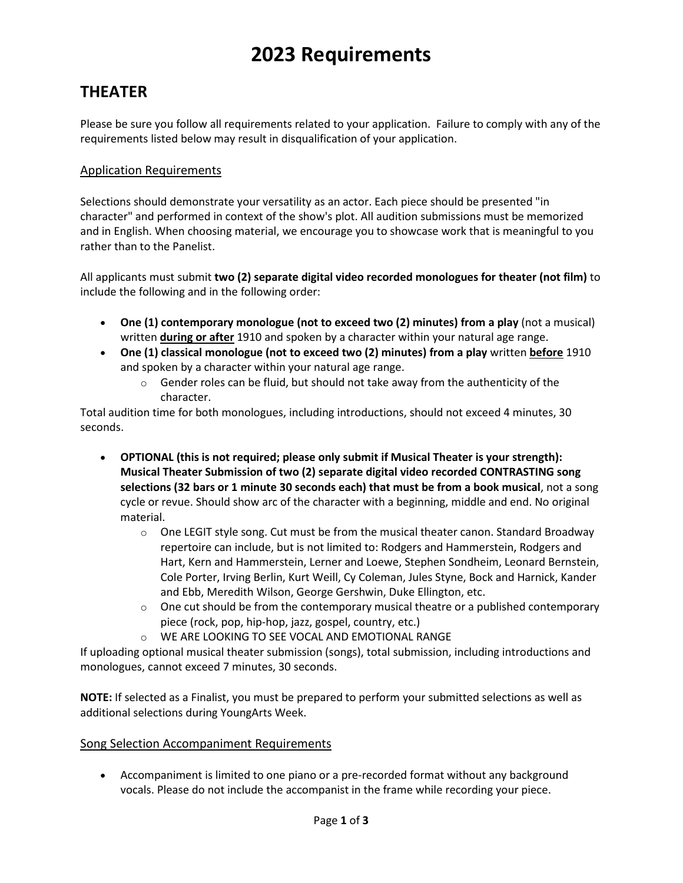# **2023 Requirements**

## **THEATER**

Please be sure you follow all requirements related to your application. Failure to comply with any of the requirements listed below may result in disqualification of your application.

### Application Requirements

Selections should demonstrate your versatility as an actor. Each piece should be presented "in character" and performed in context of the show's plot. All audition submissions must be memorized and in English. When choosing material, we encourage you to showcase work that is meaningful to you rather than to the Panelist.

All applicants must submit **two (2) separate digital video recorded monologues for theater (not film)** to include the following and in the following order:

- **One (1) contemporary monologue (not to exceed two (2) minutes) from a play** (not a musical) written **during or after** 1910 and spoken by a character within your natural age range.
- **One (1) classical monologue (not to exceed two (2) minutes) from a play** written **before** 1910 and spoken by a character within your natural age range.
	- $\circ$  Gender roles can be fluid, but should not take away from the authenticity of the character.

Total audition time for both monologues, including introductions, should not exceed 4 minutes, 30 seconds.

- **OPTIONAL (this is not required; please only submit if Musical Theater is your strength): Musical Theater Submission of two (2) separate digital video recorded CONTRASTING song selections (32 bars or 1 minute 30 seconds each) that must be from a book musical**, not a song cycle or revue. Should show arc of the character with a beginning, middle and end. No original material.
	- $\circ$  One LEGIT style song. Cut must be from the musical theater canon. Standard Broadway repertoire can include, but is not limited to: Rodgers and Hammerstein, Rodgers and Hart, Kern and Hammerstein, Lerner and Loewe, Stephen Sondheim, Leonard Bernstein, Cole Porter, Irving Berlin, Kurt Weill, Cy Coleman, Jules Styne, Bock and Harnick, Kander and Ebb, Meredith Wilson, George Gershwin, Duke Ellington, etc.
	- $\circ$  One cut should be from the contemporary musical theatre or a published contemporary piece (rock, pop, hip-hop, jazz, gospel, country, etc.)
	- o WE ARE LOOKING TO SEE VOCAL AND EMOTIONAL RANGE

If uploading optional musical theater submission (songs), total submission, including introductions and monologues, cannot exceed 7 minutes, 30 seconds.

**NOTE:** If selected as a Finalist, you must be prepared to perform your submitted selections as well as additional selections during YoungArts Week.

### Song Selection Accompaniment Requirements

• Accompaniment is limited to one piano or a pre-recorded format without any background vocals. Please do not include the accompanist in the frame while recording your piece.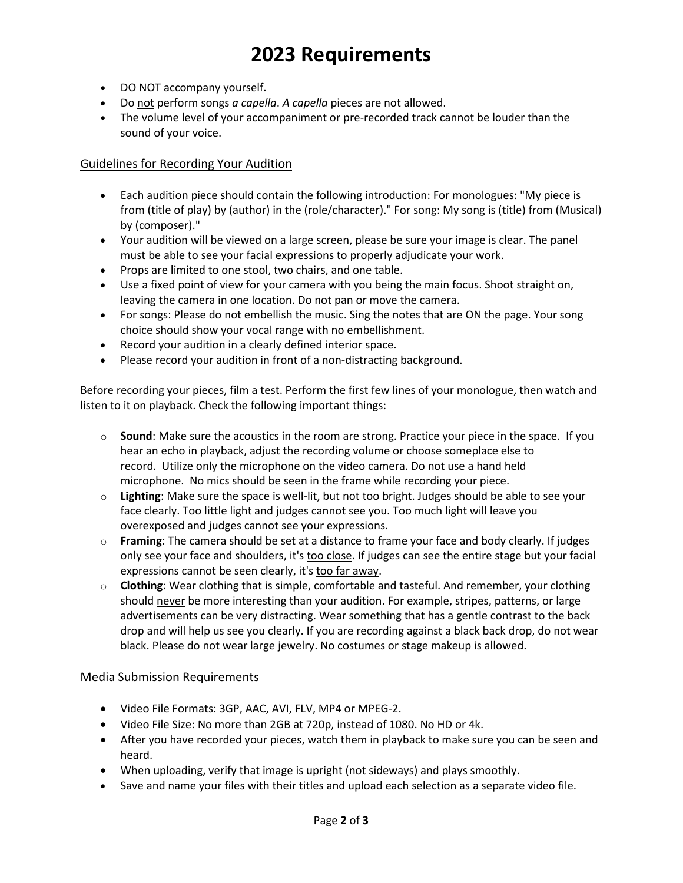# **2023 Requirements**

- DO NOT accompany yourself.
- Do not perform songs *a capella*. *A capella* pieces are not allowed.
- The volume level of your accompaniment or pre-recorded track cannot be louder than the sound of your voice.

#### Guidelines for Recording Your Audition

- Each audition piece should contain the following introduction: For monologues: "My piece is from (title of play) by (author) in the (role/character)." For song: My song is (title) from (Musical) by (composer)."
- Your audition will be viewed on a large screen, please be sure your image is clear. The panel must be able to see your facial expressions to properly adjudicate your work.
- Props are limited to one stool, two chairs, and one table.
- Use a fixed point of view for your camera with you being the main focus. Shoot straight on, leaving the camera in one location. Do not pan or move the camera.
- For songs: Please do not embellish the music. Sing the notes that are ON the page. Your song choice should show your vocal range with no embellishment.
- Record your audition in a clearly defined interior space.
- Please record your audition in front of a non-distracting background.

Before recording your pieces, film a test. Perform the first few lines of your monologue, then watch and listen to it on playback. Check the following important things:

- o **Sound**: Make sure the acoustics in the room are strong. Practice your piece in the space. If you hear an echo in playback, adjust the recording volume or choose someplace else to record. Utilize only the microphone on the video camera. Do not use a hand held microphone. No mics should be seen in the frame while recording your piece.
- o **Lighting**: Make sure the space is well-lit, but not too bright. Judges should be able to see your face clearly. Too little light and judges cannot see you. Too much light will leave you overexposed and judges cannot see your expressions.
- o **Framing**: The camera should be set at a distance to frame your face and body clearly. If judges only see your face and shoulders, it's too close. If judges can see the entire stage but your facial expressions cannot be seen clearly, it's too far away.
- o **Clothing**: Wear clothing that is simple, comfortable and tasteful. And remember, your clothing should never be more interesting than your audition. For example, stripes, patterns, or large advertisements can be very distracting. Wear something that has a gentle contrast to the back drop and will help us see you clearly. If you are recording against a black back drop, do not wear black. Please do not wear large jewelry. No costumes or stage makeup is allowed.

#### Media Submission Requirements

- Video File Formats: 3GP, AAC, AVI, FLV, MP4 or MPEG-2.
- Video File Size: No more than 2GB at 720p, instead of 1080. No HD or 4k.
- After you have recorded your pieces, watch them in playback to make sure you can be seen and heard.
- When uploading, verify that image is upright (not sideways) and plays smoothly.
- Save and name your files with their titles and upload each selection as a separate video file.